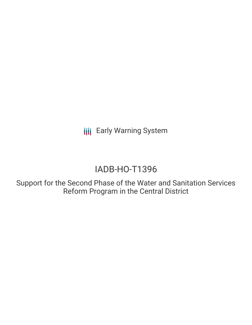**III** Early Warning System

# IADB-HO-T1396

Support for the Second Phase of the Water and Sanitation Services Reform Program in the Central District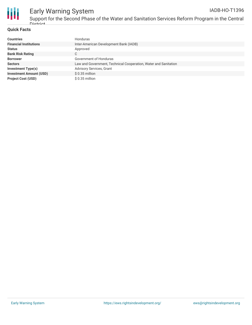

## Early Warning System

Support for the Second Phase of the Water and Sanitation Services Reform Program in the Central District

#### **Quick Facts**

| <b>Countries</b>               | Honduras                                                        |
|--------------------------------|-----------------------------------------------------------------|
| <b>Financial Institutions</b>  | Inter-American Development Bank (IADB)                          |
| <b>Status</b>                  | Approved                                                        |
| <b>Bank Risk Rating</b>        | С                                                               |
| <b>Borrower</b>                | Government of Honduras                                          |
| <b>Sectors</b>                 | Law and Government, Technical Cooperation, Water and Sanitation |
| <b>Investment Type(s)</b>      | <b>Advisory Services, Grant</b>                                 |
| <b>Investment Amount (USD)</b> | $$0.35$ million                                                 |
| <b>Project Cost (USD)</b>      | $$0.35$ million                                                 |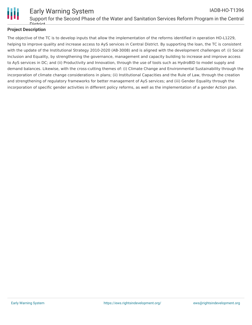

#### Early Warning System Support for the Second Phase of the Water and Sanitation Services Reform Program in the Central Dictrict IADB-HO-T1396

#### **Project Description**

The objective of the TC is to develop inputs that allow the implementation of the reforms identified in operation HO-L1229, helping to improve quality and increase access to AyS services in Central District. By supporting the loan, the TC is consistent with the update of the Institutional Strategy 2010-2020 (AB-3008) and is aligned with the development challenges of: (i) Social Inclusion and Equality, by strengthening the governance, management and capacity building to increase and improve access to AyS services in DC; and (ii) Productivity and Innovation, through the use of tools such as HydroBID to model supply and demand balances. Likewise, with the cross-cutting themes of: (i) Climate Change and Environmental Sustainability through the incorporation of climate change considerations in plans; (ii) Institutional Capacities and the Rule of Law, through the creation and strengthening of regulatory frameworks for better management of AyS services; and (iii) Gender Equality through the incorporation of specific gender activities in different policy reforms, as well as the implementation of a gender Action plan.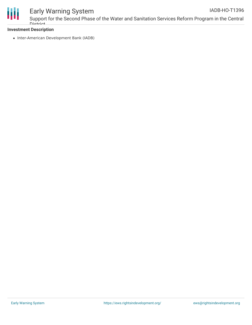

## Early Warning System

Support for the Second Phase of the Water and Sanitation Services Reform Program in the Central District IADB-HO-T1396

#### **Investment Description**

• Inter-American Development Bank (IADB)